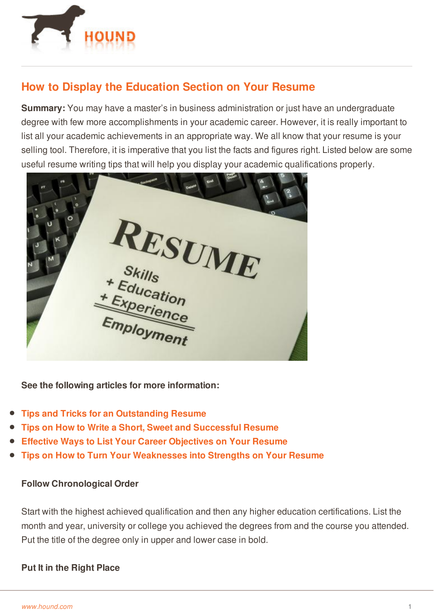

# **How to Display the Education Section on Your Resume**

**Summary:** You may have a master's in business administration or just have an undergraduate degree with few more accomplishments in your academic career. However, it is really important to list all your academic achievements in an appropriate way. We all know that your resume is your selling tool. Therefore, it is imperative that you list the facts and figures right. Listed below are some useful resume writing tips that will help you display your academic qualifications properly.



**See the following articles for more information:**

- **Tips and Tricks for an [Outstanding](http://www.hound.com/article/900042738/Tips-and-Tricks-for-an-Outstanding-Resume/) Resume**
- **Tips on How to Write a Short, Sweet and [Successful](http://www.hound.com/article/900042960/Tips-on-How-to-Write-a-Short-Sweet-and-Successful-Resume/) Resume**
- **Effective Ways to List Your Career [Objectives](http://www.hound.com/article/900044223/Effective-Ways-to-List-Your-Career-Objectives-on-Your-Resume/) on Your Resume**
- **Tips on How to Turn Your [Weaknesses](http://www.hound.com/article/900044363/Tips-on-How-to-Turn-Your-Weaknesses-into-Strengths-on-Your-Resume/) into Strengths on Your Resume**

#### **Follow Chronological Order**

Start with the highest achieved qualification and then any higher education certifications. List the [month](http://www.hound.com/) and year, university or college you achieved the degrees from and the course you attended. Put the title of the degree only in upper and lower case in bold.

#### **Put It in the Right Place**